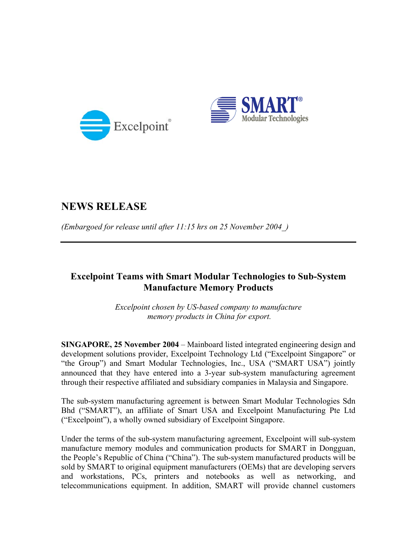



## **NEWS RELEASE**

*(Embargoed for release until after 11:15 hrs on 25 November 2004\_)* 

## **Excelpoint Teams with Smart Modular Technologies to Sub-System Manufacture Memory Products**

*Excelpoint chosen by US-based company to manufacture memory products in China for export.* 

**SINGAPORE, 25 November 2004** – Mainboard listed integrated engineering design and development solutions provider, Excelpoint Technology Ltd ("Excelpoint Singapore" or "the Group") and Smart Modular Technologies, Inc., USA ("SMART USA") jointly announced that they have entered into a 3-year sub-system manufacturing agreement through their respective affiliated and subsidiary companies in Malaysia and Singapore.

The sub-system manufacturing agreement is between Smart Modular Technologies Sdn Bhd ("SMART"), an affiliate of Smart USA and Excelpoint Manufacturing Pte Ltd ("Excelpoint"), a wholly owned subsidiary of Excelpoint Singapore.

Under the terms of the sub-system manufacturing agreement, Excelpoint will sub-system manufacture memory modules and communication products for SMART in Dongguan, the People's Republic of China ("China"). The sub-system manufactured products will be sold by SMART to original equipment manufacturers (OEMs) that are developing servers and workstations, PCs, printers and notebooks as well as networking, and telecommunications equipment. In addition, SMART will provide channel customers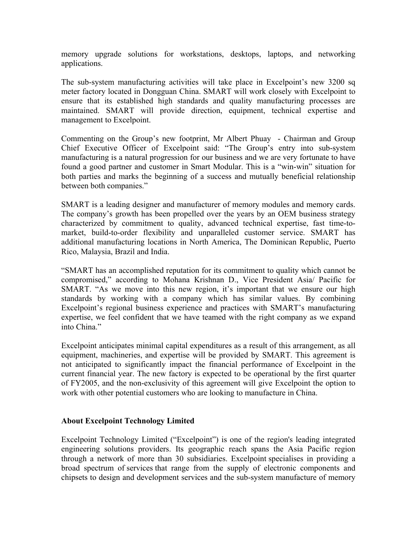memory upgrade solutions for workstations, desktops, laptops, and networking applications.

The sub-system manufacturing activities will take place in Excelpoint's new 3200 sq meter factory located in Dongguan China. SMART will work closely with Excelpoint to ensure that its established high standards and quality manufacturing processes are maintained. SMART will provide direction, equipment, technical expertise and management to Excelpoint.

Commenting on the Group's new footprint, Mr Albert Phuay - Chairman and Group Chief Executive Officer of Excelpoint said: "The Group's entry into sub-system manufacturing is a natural progression for our business and we are very fortunate to have found a good partner and customer in Smart Modular. This is a "win-win" situation for both parties and marks the beginning of a success and mutually beneficial relationship between both companies."

SMART is a leading designer and manufacturer of memory modules and memory cards. The company's growth has been propelled over the years by an OEM business strategy characterized by commitment to quality, advanced technical expertise, fast time-tomarket, build-to-order flexibility and unparalleled customer service. SMART has additional manufacturing locations in North America, The Dominican Republic, Puerto Rico, Malaysia, Brazil and India.

"SMART has an accomplished reputation for its commitment to quality which cannot be compromised," according to Mohana Krishnan D., Vice President Asia/ Pacific for SMART. "As we move into this new region, it's important that we ensure our high standards by working with a company which has similar values. By combining Excelpoint's regional business experience and practices with SMART's manufacturing expertise, we feel confident that we have teamed with the right company as we expand into China."

Excelpoint anticipates minimal capital expenditures as a result of this arrangement, as all equipment, machineries, and expertise will be provided by SMART. This agreement is not anticipated to significantly impact the financial performance of Excelpoint in the current financial year. The new factory is expected to be operational by the first quarter of FY2005, and the non-exclusivity of this agreement will give Excelpoint the option to work with other potential customers who are looking to manufacture in China.

## **About Excelpoint Technology Limited**

Excelpoint Technology Limited ("Excelpoint") is one of the region's leading integrated engineering solutions providers. Its geographic reach spans the Asia Pacific region through a network of more than 30 subsidiaries. Excelpoint specialises in providing a broad spectrum of services that range from the supply of electronic components and chipsets to design and development services and the sub-system manufacture of memory